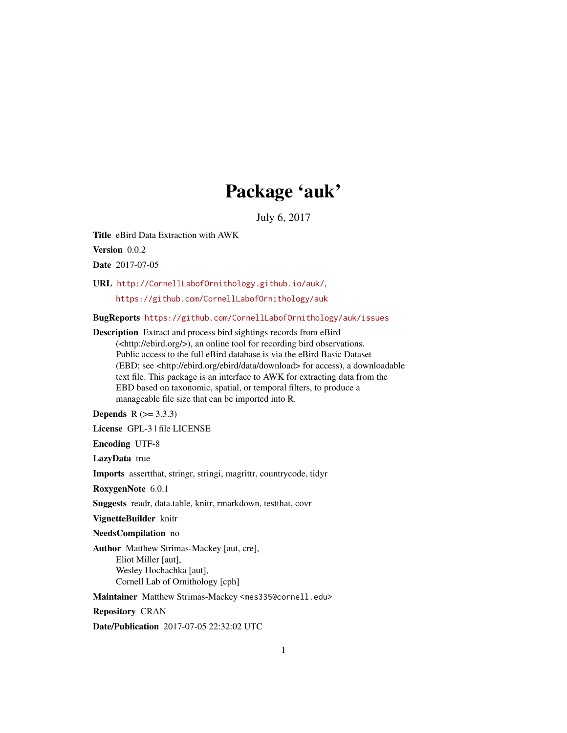## Package 'auk'

July 6, 2017

<span id="page-0-0"></span>Title eBird Data Extraction with AWK

Version 0.0.2

Date 2017-07-05

URL <http://CornellLabofOrnithology.github.io/auk/>,

<https://github.com/CornellLabofOrnithology/auk>

BugReports <https://github.com/CornellLabofOrnithology/auk/issues>

Description Extract and process bird sightings records from eBird (<http://ebird.org/>), an online tool for recording bird observations. Public access to the full eBird database is via the eBird Basic Dataset (EBD; see <http://ebird.org/ebird/data/download> for access), a downloadable text file. This package is an interface to AWK for extracting data from the EBD based on taxonomic, spatial, or temporal filters, to produce a manageable file size that can be imported into R.

**Depends**  $R (= 3.3.3)$ 

License GPL-3 | file LICENSE

Encoding UTF-8

LazyData true

Imports assertthat, stringr, stringi, magrittr, countrycode, tidyr

RoxygenNote 6.0.1

Suggests readr, data.table, knitr, rmarkdown, testthat, covr

VignetteBuilder knitr

NeedsCompilation no

Author Matthew Strimas-Mackey [aut, cre], Eliot Miller [aut], Wesley Hochachka [aut], Cornell Lab of Ornithology [cph]

Maintainer Matthew Strimas-Mackey <mes335@cornell.edu>

Repository CRAN

Date/Publication 2017-07-05 22:32:02 UTC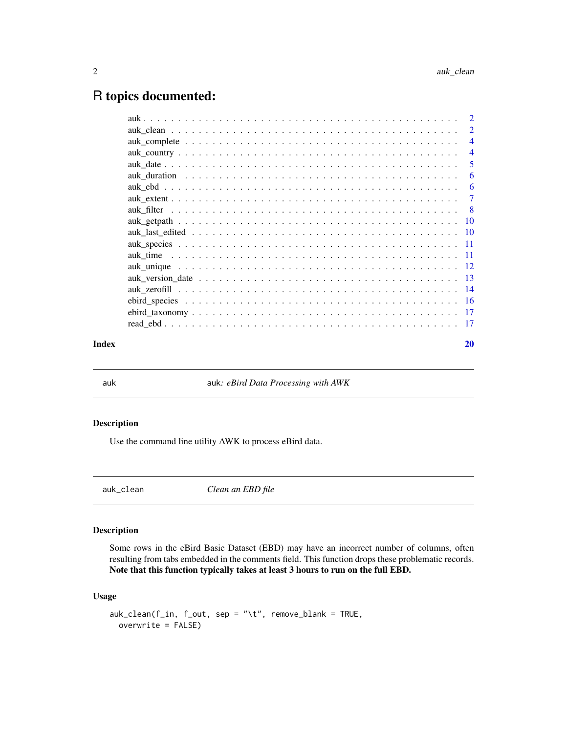### <span id="page-1-0"></span>R topics documented:

|       | $\overline{4}$ |
|-------|----------------|
|       | $\overline{4}$ |
|       | 5              |
|       | -6             |
|       | -6             |
|       |                |
|       |                |
|       |                |
|       |                |
|       |                |
|       |                |
|       |                |
|       |                |
|       |                |
|       |                |
|       |                |
|       |                |
| Index | 20             |

auk auk*: eBird Data Processing with AWK*

#### Description

Use the command line utility AWK to process eBird data.

Clean an EBD file

#### Description

Some rows in the eBird Basic Dataset (EBD) may have an incorrect number of columns, often resulting from tabs embedded in the comments field. This function drops these problematic records. Note that this function typically takes at least 3 hours to run on the full EBD.

#### Usage

```
auk_clean(f_in, f_out, sep = "\t", remove_blank = TRUE,
 overwrite = FALSE)
```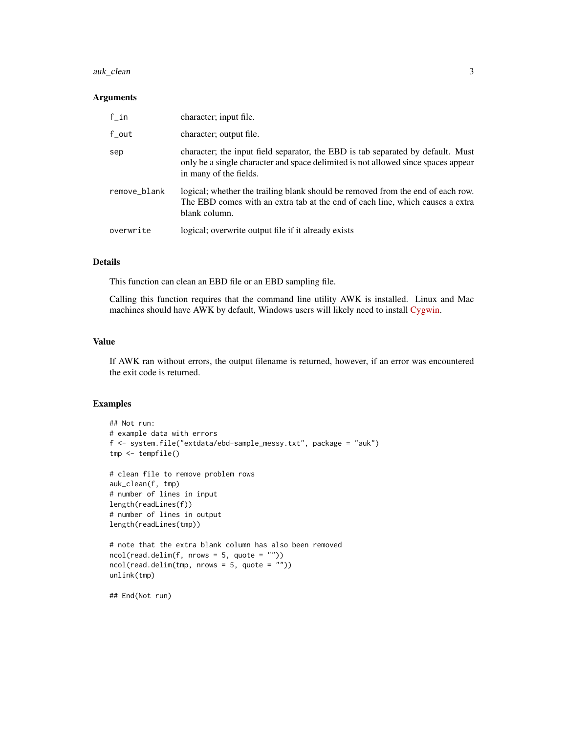#### auk\_clean 3

#### Arguments

| $f$ _in      | character; input file.                                                                                                                                                                         |
|--------------|------------------------------------------------------------------------------------------------------------------------------------------------------------------------------------------------|
| $f_{out}$    | character; output file.                                                                                                                                                                        |
| sep          | character; the input field separator, the EBD is tab separated by default. Must<br>only be a single character and space delimited is not allowed since spaces appear<br>in many of the fields. |
| remove_blank | logical; whether the trailing blank should be removed from the end of each row.<br>The EBD comes with an extra tab at the end of each line, which causes a extra<br>blank column.              |
| overwrite    | logical; overwrite output file if it already exists                                                                                                                                            |

#### Details

This function can clean an EBD file or an EBD sampling file.

Calling this function requires that the command line utility AWK is installed. Linux and Mac machines should have AWK by default, Windows users will likely need to install [Cygwin.](https://www.cygwin.com)

#### Value

If AWK ran without errors, the output filename is returned, however, if an error was encountered the exit code is returned.

```
## Not run:
# example data with errors
f <- system.file("extdata/ebd-sample_messy.txt", package = "auk")
tmp <- tempfile()
# clean file to remove problem rows
auk_clean(f, tmp)
# number of lines in input
length(readLines(f))
# number of lines in output
length(readLines(tmp))
# note that the extra blank column has also been removed
ncol(read.delim(f, nrows = 5, quote = "")ncol(read.delim(tmp, nrows = 5, quote = ""))
unlink(tmp)
## End(Not run)
```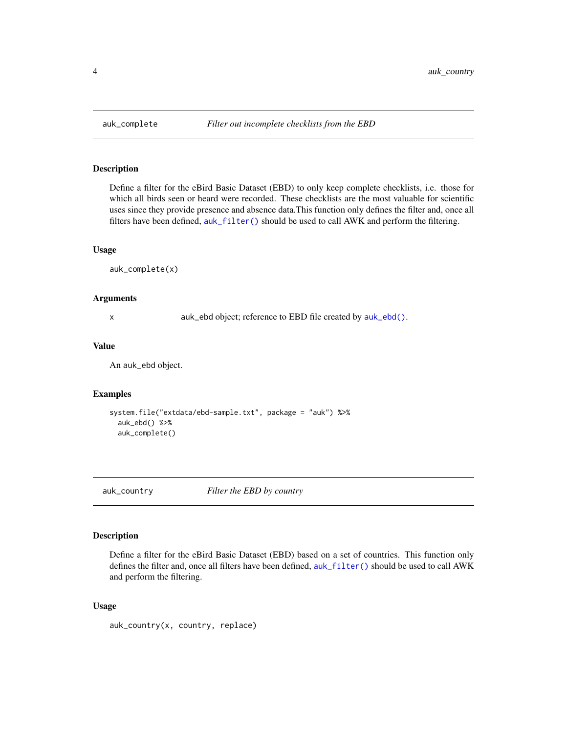Define a filter for the eBird Basic Dataset (EBD) to only keep complete checklists, i.e. those for which all birds seen or heard were recorded. These checklists are the most valuable for scientific uses since they provide presence and absence data.This function only defines the filter and, once all filters have been defined, [auk\\_filter\(\)](#page-7-1) should be used to call AWK and perform the filtering.

#### Usage

auk\_complete(x)

#### Arguments

x auk\_ebd object; reference to EBD file created by [auk\\_ebd\(\)](#page-5-1).

#### Value

An auk\_ebd object.

#### Examples

```
system.file("extdata/ebd-sample.txt", package = "auk") %>%
 auk_ebd() %>%
 auk_complete()
```
<span id="page-3-1"></span>auk\_country *Filter the EBD by country*

#### Description

Define a filter for the eBird Basic Dataset (EBD) based on a set of countries. This function only defines the filter and, once all filters have been defined, [auk\\_filter\(\)](#page-7-1) should be used to call AWK and perform the filtering.

#### Usage

auk\_country(x, country, replace)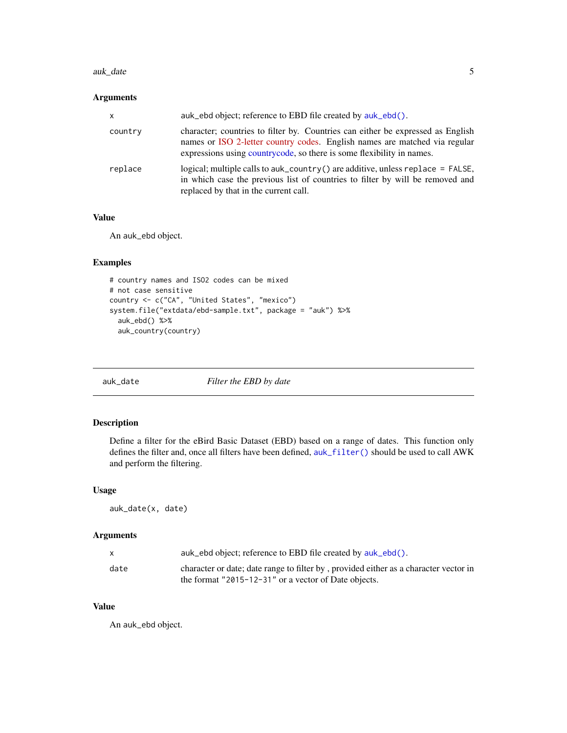#### <span id="page-4-0"></span>auk\_date 5

#### Arguments

| $\mathsf{x}$ | auk_ebd object; reference to EBD file created by auk_ebd().                                                                                                                                                                            |
|--------------|----------------------------------------------------------------------------------------------------------------------------------------------------------------------------------------------------------------------------------------|
| country      | character; countries to filter by. Countries can either be expressed as English<br>names or ISO 2-letter country codes. English names are matched via regular<br>expressions using countrycode, so there is some flexibility in names. |
| replace      | logical; multiple calls to auk_country() are additive, unless replace = $FALSE$ ,<br>in which case the previous list of countries to filter by will be removed and<br>replaced by that in the current call.                            |

#### Value

An auk\_ebd object.

#### Examples

```
# country names and ISO2 codes can be mixed
# not case sensitive
country <- c("CA", "United States", "mexico")
system.file("extdata/ebd-sample.txt", package = "auk") %>%
  auk_ebd() %>%
  auk_country(country)
```
auk\_date *Filter the EBD by date*

#### Description

Define a filter for the eBird Basic Dataset (EBD) based on a range of dates. This function only defines the filter and, once all filters have been defined, [auk\\_filter\(\)](#page-7-1) should be used to call AWK and perform the filtering.

#### Usage

auk\_date(x, date)

#### Arguments

|      | auk_ebd object; reference to EBD file created by auk_ebd().                                                                                  |
|------|----------------------------------------------------------------------------------------------------------------------------------------------|
| date | character or date; date range to filter by, provided either as a character vector in<br>the format "2015-12-31" or a vector of Date objects. |

#### Value

An auk\_ebd object.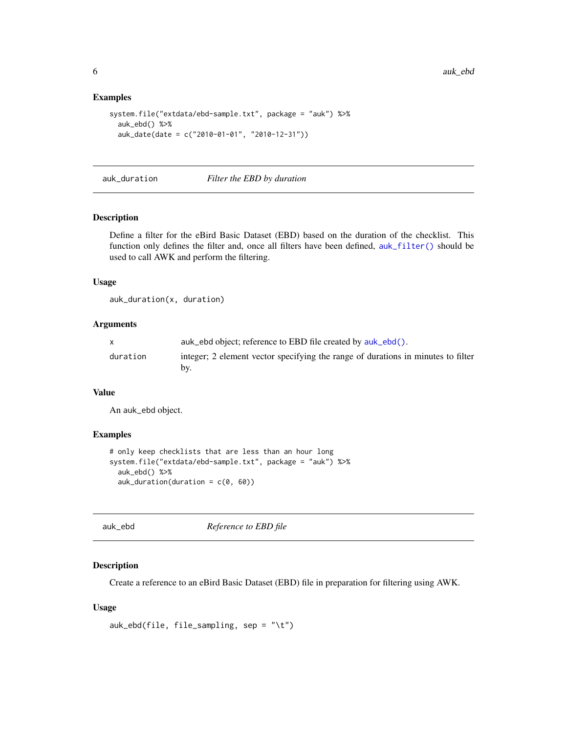#### Examples

```
system.file("extdata/ebd-sample.txt", package = "auk") %>%
 auk_ebd() %>%
 auk_date(date = c("2010-01-01", "2010-12-31"))
```
auk\_duration *Filter the EBD by duration*

#### Description

Define a filter for the eBird Basic Dataset (EBD) based on the duration of the checklist. This function only defines the filter and, once all filters have been defined, [auk\\_filter\(\)](#page-7-1) should be used to call AWK and perform the filtering.

#### Usage

auk\_duration(x, duration)

#### Arguments

|          | auk_ebd object; reference to EBD file created by auk_ebd().                      |
|----------|----------------------------------------------------------------------------------|
| duration | integer; 2 element vector specifying the range of durations in minutes to filter |
|          | bv.                                                                              |

#### Value

An auk\_ebd object.

#### Examples

```
# only keep checklists that are less than an hour long
system.file("extdata/ebd-sample.txt", package = "auk") %>%
 auk_ebd() %>%
 auk_duration(duration = c(\theta, 6\theta))
```
<span id="page-5-1"></span>auk\_ebd *Reference to EBD file*

#### Description

Create a reference to an eBird Basic Dataset (EBD) file in preparation for filtering using AWK.

#### Usage

```
auk_ebd(file, file_sampling, sep = "\t")
```
<span id="page-5-0"></span>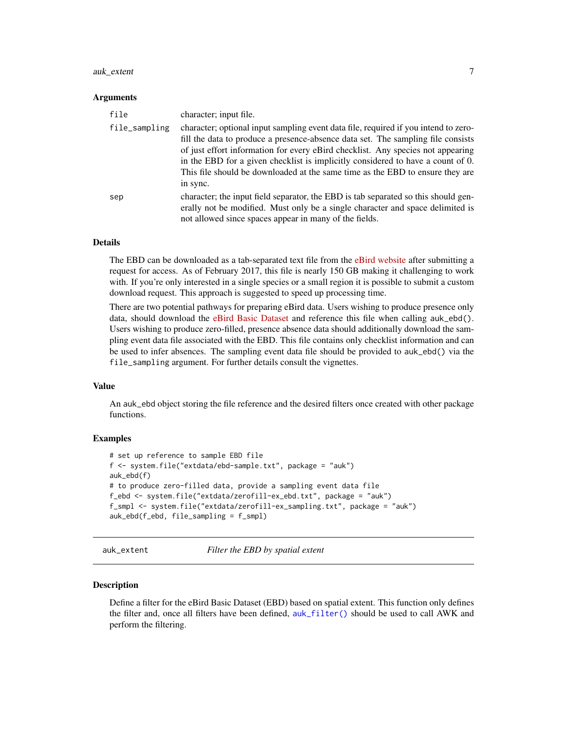#### <span id="page-6-0"></span>auk\_extent 7

#### Arguments

| file          | character; input file.                                                                                                                                                                                                                                                                                                                                                                                                                     |
|---------------|--------------------------------------------------------------------------------------------------------------------------------------------------------------------------------------------------------------------------------------------------------------------------------------------------------------------------------------------------------------------------------------------------------------------------------------------|
| file_sampling | character; optional input sampling event data file, required if you intend to zero-<br>fill the data to produce a presence-absence data set. The sampling file consists<br>of just effort information for every eBird checklist. Any species not appearing<br>in the EBD for a given checklist is implicitly considered to have a count of 0.<br>This file should be downloaded at the same time as the EBD to ensure they are<br>in sync. |
| sep           | character; the input field separator, the EBD is tab separated so this should gen-<br>erally not be modified. Must only be a single character and space delimited is<br>not allowed since spaces appear in many of the fields.                                                                                                                                                                                                             |

#### Details

The EBD can be downloaded as a tab-separated text file from the [eBird website](http://ebird.org/ebird/data/download) after submitting a request for access. As of February 2017, this file is nearly 150 GB making it challenging to work with. If you're only interested in a single species or a small region it is possible to submit a custom download request. This approach is suggested to speed up processing time.

There are two potential pathways for preparing eBird data. Users wishing to produce presence only data, should download the [eBird Basic Dataset](http://ebird.org/ebird/data/download/) and reference this file when calling auk\_ebd(). Users wishing to produce zero-filled, presence absence data should additionally download the sampling event data file associated with the EBD. This file contains only checklist information and can be used to infer absences. The sampling event data file should be provided to auk\_ebd() via the file\_sampling argument. For further details consult the vignettes.

#### Value

An auk\_ebd object storing the file reference and the desired filters once created with other package functions.

#### Examples

```
# set up reference to sample EBD file
f <- system.file("extdata/ebd-sample.txt", package = "auk")
auk_ebd(f)
# to produce zero-filled data, provide a sampling event data file
f_ebd <- system.file("extdata/zerofill-ex_ebd.txt", package = "auk")
f_smpl <- system.file("extdata/zerofill-ex_sampling.txt", package = "auk")
auk_ebd(f_ebd, file_sampling = f_smpl)
```
auk\_extent *Filter the EBD by spatial extent*

#### Description

Define a filter for the eBird Basic Dataset (EBD) based on spatial extent. This function only defines the filter and, once all filters have been defined, [auk\\_filter\(\)](#page-7-1) should be used to call AWK and perform the filtering.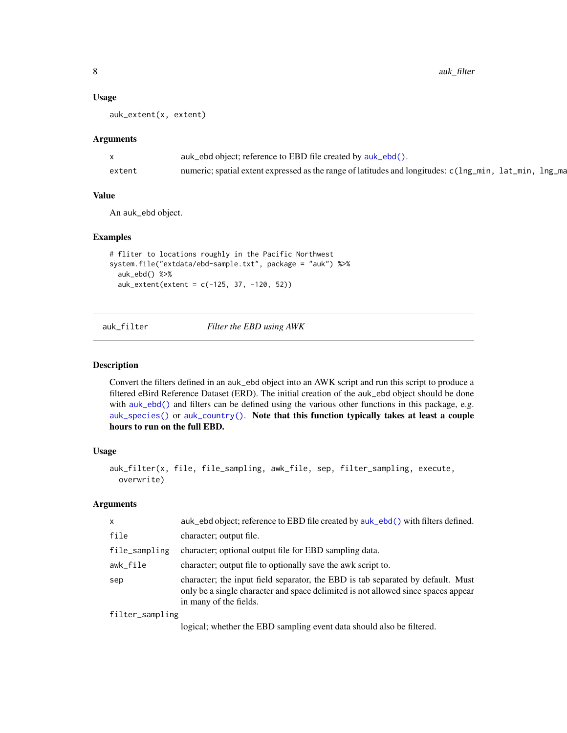#### <span id="page-7-0"></span>Usage

auk\_extent(x, extent)

#### Arguments

|        | auk_ebd object; reference to EBD file created by auk_ebd().                                            |
|--------|--------------------------------------------------------------------------------------------------------|
| extent | numeric; spatial extent expressed as the range of latitudes and longitudes: c(lng_min, lat_min, lng_ma |

#### Value

An auk\_ebd object.

#### Examples

```
# fliter to locations roughly in the Pacific Northwest
system.file("extdata/ebd-sample.txt", package = "auk") %>%
  auk_ebd() %>%
  auk_extent(extent = c(-125, 37, -120, 52))
```
auk\_filter *Filter the EBD using AWK*

#### Description

Convert the filters defined in an auk\_ebd object into an AWK script and run this script to produce a filtered eBird Reference Dataset (ERD). The initial creation of the auk\_ebd object should be done with [auk\\_ebd\(\)](#page-5-1) and filters can be defined using the various other functions in this package, e.g. [auk\\_species\(\)](#page-10-1) or [auk\\_country\(\)](#page-3-1). Note that this function typically takes at least a couple hours to run on the full EBD.

#### Usage

```
auk_filter(x, file, file_sampling, awk_file, sep, filter_sampling, execute,
 overwrite)
```
#### Arguments

| $\mathsf{x}$    | auk_ebd object; reference to EBD file created by auk_ebd() with filters defined.                                                                                                               |
|-----------------|------------------------------------------------------------------------------------------------------------------------------------------------------------------------------------------------|
| file            | character; output file.                                                                                                                                                                        |
| file_sampling   | character; optional output file for EBD sampling data.                                                                                                                                         |
| awk_file        | character; output file to optionally save the awk script to.                                                                                                                                   |
| sep             | character; the input field separator, the EBD is tab separated by default. Must<br>only be a single character and space delimited is not allowed since spaces appear<br>in many of the fields. |
| filter_sampling |                                                                                                                                                                                                |

logical; whether the EBD sampling event data should also be filtered.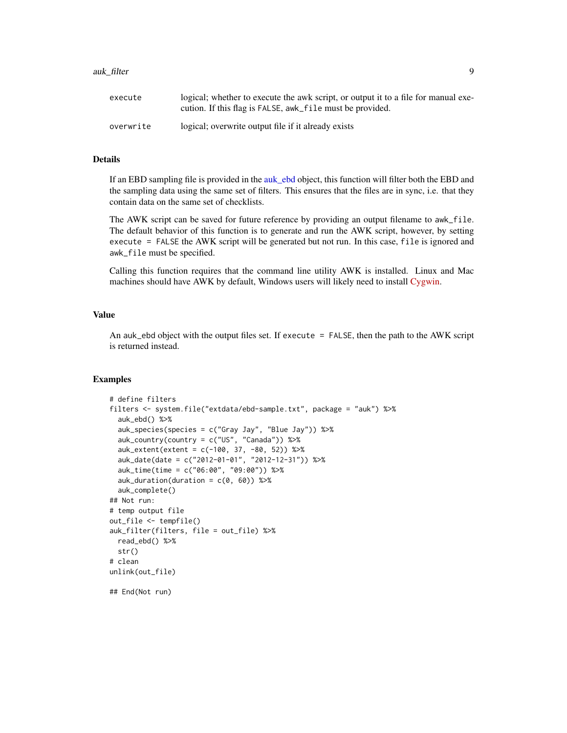#### <span id="page-8-0"></span>auk\_filter 9

| execute   | logical; whether to execute the awk script, or output it to a file for manual exe-<br>cution. If this flag is FALSE, awk_file must be provided. |
|-----------|-------------------------------------------------------------------------------------------------------------------------------------------------|
| overwrite | logical; overwrite output file if it already exists                                                                                             |

#### Details

If an EBD sampling file is provided in the [auk\\_ebd](#page-5-1) object, this function will filter both the EBD and the sampling data using the same set of filters. This ensures that the files are in sync, i.e. that they contain data on the same set of checklists.

The AWK script can be saved for future reference by providing an output filename to awk\_file. The default behavior of this function is to generate and run the AWK script, however, by setting execute = FALSE the AWK script will be generated but not run. In this case, file is ignored and awk\_file must be specified.

Calling this function requires that the command line utility AWK is installed. Linux and Mac machines should have AWK by default, Windows users will likely need to install [Cygwin.](https://www.cygwin.com)

#### Value

An auk\_ebd object with the output files set. If execute = FALSE, then the path to the AWK script is returned instead.

```
# define filters
filters <- system.file("extdata/ebd-sample.txt", package = "auk") %>%
 auk_ebd() %>%
 auk_species(species = c("Gray Jay", "Blue Jay")) %>%
 auk_country(country = c("US", "Canada")) %>%
 auk_extent(extent = c(-100, 37, -80, 52)) %>%
 auk_date(date = c("2012-01-01", "2012-12-31")) %>%
 auk_time(time = c("06:00", "09:00")) %>%
 auk_duration(duration = c(\theta, 6\theta)) %>%
 auk_complete()
## Not run:
# temp output file
out_file <- tempfile()
auk_filter(filters, file = out_file) %>%
 read_ebd() %>%
 str()
# clean
unlink(out_file)
## End(Not run)
```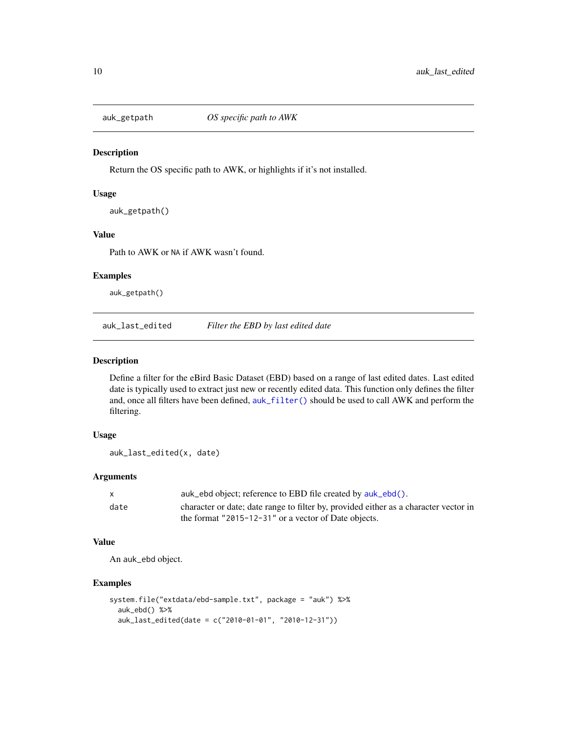<span id="page-9-0"></span>

Return the OS specific path to AWK, or highlights if it's not installed.

#### Usage

```
auk_getpath()
```
#### Value

Path to AWK or NA if AWK wasn't found.

#### Examples

auk\_getpath()

auk\_last\_edited *Filter the EBD by last edited date*

#### Description

Define a filter for the eBird Basic Dataset (EBD) based on a range of last edited dates. Last edited date is typically used to extract just new or recently edited data. This function only defines the filter and, once all filters have been defined, [auk\\_filter\(\)](#page-7-1) should be used to call AWK and perform the filtering.

#### Usage

auk\_last\_edited(x, date)

#### Arguments

| $\mathsf{x}$ | auk_ebd object; reference to EBD file created by auk_ebd().                          |
|--------------|--------------------------------------------------------------------------------------|
| date         | character or date; date range to filter by, provided either as a character vector in |
|              | the format "2015-12-31" or a vector of Date objects.                                 |

#### Value

An auk\_ebd object.

```
system.file("extdata/ebd-sample.txt", package = "auk") %>%
 auk_ebd() %>%
 auk_last_edited(date = c("2010-01-01", "2010-12-31"))
```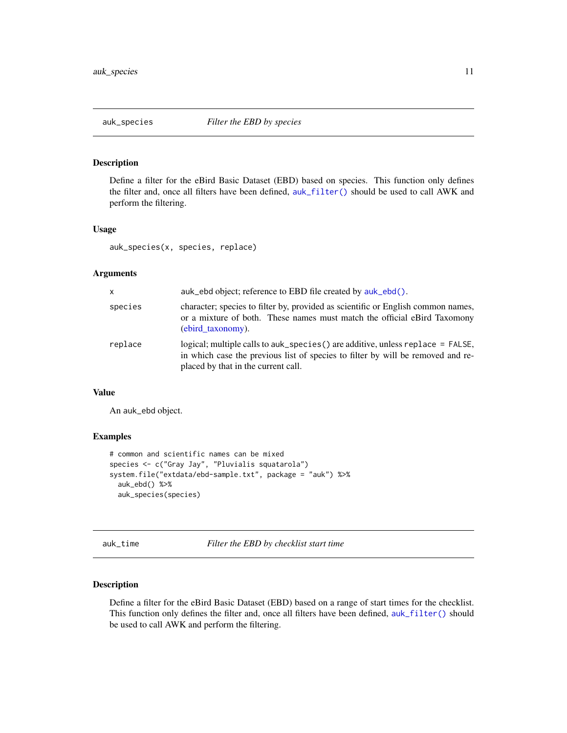<span id="page-10-1"></span><span id="page-10-0"></span>Define a filter for the eBird Basic Dataset (EBD) based on species. This function only defines the filter and, once all filters have been defined, [auk\\_filter\(\)](#page-7-1) should be used to call AWK and perform the filtering.

#### Usage

auk\_species(x, species, replace)

#### Arguments

| $\mathsf{x}$ | auk_ebd object; reference to EBD file created by auk_ebd().                                                                                                                                                 |
|--------------|-------------------------------------------------------------------------------------------------------------------------------------------------------------------------------------------------------------|
| species      | character; species to filter by, provided as scientific or English common names,<br>or a mixture of both. These names must match the official eBird Taxomony<br>(ebird taxonomy).                           |
| replace      | logical; multiple calls to auk_species() are additive, unless replace = $FALSE$ ,<br>in which case the previous list of species to filter by will be removed and re-<br>placed by that in the current call. |

#### Value

An auk\_ebd object.

#### Examples

```
# common and scientific names can be mixed
species <- c("Gray Jay", "Pluvialis squatarola")
system.file("extdata/ebd-sample.txt", package = "auk") %>%
 auk_ebd() %>%
 auk_species(species)
```
auk\_time *Filter the EBD by checklist start time*

#### Description

Define a filter for the eBird Basic Dataset (EBD) based on a range of start times for the checklist. This function only defines the filter and, once all filters have been defined, [auk\\_filter\(\)](#page-7-1) should be used to call AWK and perform the filtering.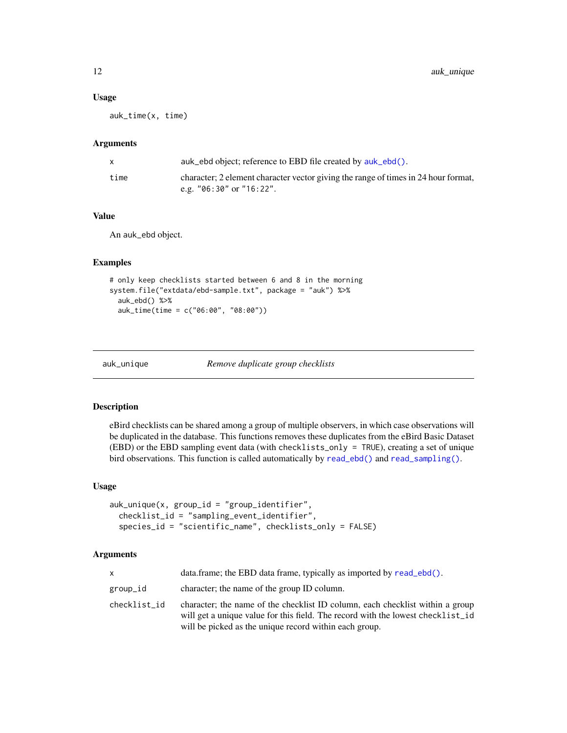#### <span id="page-11-0"></span>Usage

auk\_time(x, time)

#### Arguments

|      | auk_ebd object; reference to EBD file created by auk_ebd().                                                        |
|------|--------------------------------------------------------------------------------------------------------------------|
| time | character; 2 element character vector giving the range of times in 24 hour format,<br>e.g. $"06:30"$ or $"16:22".$ |
|      |                                                                                                                    |

#### Value

An auk\_ebd object.

#### Examples

```
# only keep checklists started between 6 and 8 in the morning
system.file("extdata/ebd-sample.txt", package = "auk") %>%
 auk_ebd() %>%
 auk_time(time = c("06:00", "08:00"))
```
<span id="page-11-1"></span>

auk\_unique *Remove duplicate group checklists*

#### Description

eBird checklists can be shared among a group of multiple observers, in which case observations will be duplicated in the database. This functions removes these duplicates from the eBird Basic Dataset (EBD) or the EBD sampling event data (with checklists\_only = TRUE), creating a set of unique bird observations. This function is called automatically by [read\\_ebd\(\)](#page-16-2) and [read\\_sampling\(\)](#page-16-3).

#### Usage

```
auk_unique(x, group_id = "group_identifier",
  checklist_id = "sampling_event_identifier",
  species_id = "scientific_name", checklists_only = FALSE)
```
#### Arguments

| $\mathsf{x}$ | data.frame; the EBD data frame, typically as imported by read_ebd().                                                                                                                                                       |
|--------------|----------------------------------------------------------------------------------------------------------------------------------------------------------------------------------------------------------------------------|
| group_id     | character; the name of the group ID column.                                                                                                                                                                                |
| checklist id | character; the name of the checklist ID column, each checklist within a group<br>will get a unique value for this field. The record with the lowest checklist_id<br>will be picked as the unique record within each group. |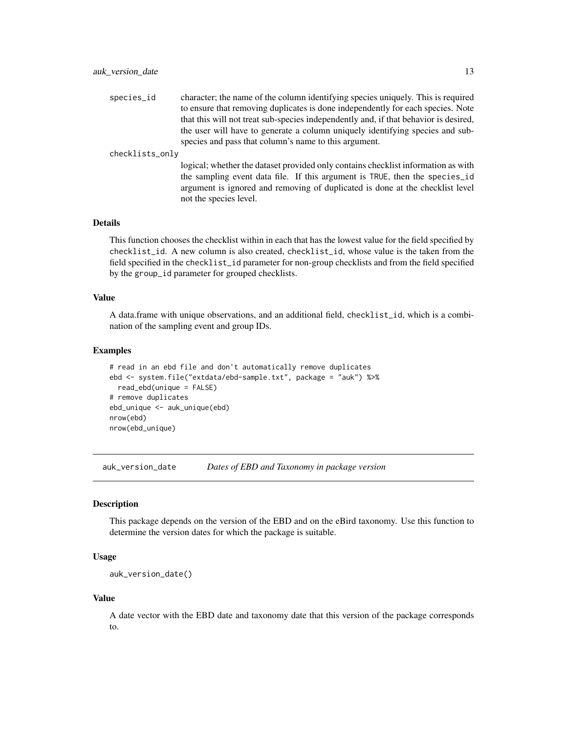<span id="page-12-0"></span>species\_id character; the name of the column identifying species uniquely. This is required to ensure that removing duplicates is done independently for each species. Note that this will not treat sub-species independently and, if that behavior is desired, the user will have to generate a column uniquely identifying species and subspecies and pass that column's name to this argument.

checklists\_only

logical; whether the dataset provided only contains checklist information as with the sampling event data file. If this argument is TRUE, then the species\_id argument is ignored and removing of duplicated is done at the checklist level not the species level.

#### Details

This function chooses the checklist within in each that has the lowest value for the field specified by checklist\_id. A new column is also created, checklist\_id, whose value is the taken from the field specified in the checklist\_id parameter for non-group checklists and from the field specified by the group\_id parameter for grouped checklists.

#### Value

A data.frame with unique observations, and an additional field, checklist\_id, which is a combination of the sampling event and group IDs.

#### Examples

```
# read in an ebd file and don't automatically remove duplicates
ebd <- system.file("extdata/ebd-sample.txt", package = "auk") %>%
 read_ebd(unique = FALSE)
# remove duplicates
ebd_unique <- auk_unique(ebd)
nrow(ebd)
nrow(ebd_unique)
```
auk\_version\_date *Dates of EBD and Taxonomy in package version*

#### Description

This package depends on the version of the EBD and on the eBird taxonomy. Use this function to determine the version dates for which the package is suitable.

#### Usage

```
auk_version_date()
```
#### Value

A date vector with the EBD date and taxonomy date that this version of the package corresponds to.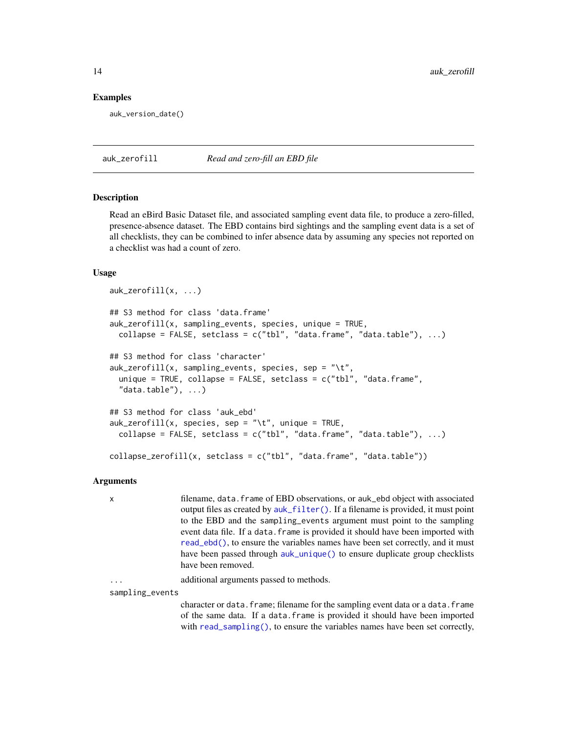#### Examples

auk\_version\_date()

auk\_zerofill *Read and zero-fill an EBD file*

#### Description

Read an eBird Basic Dataset file, and associated sampling event data file, to produce a zero-filled, presence-absence dataset. The EBD contains bird sightings and the sampling event data is a set of all checklists, they can be combined to infer absence data by assuming any species not reported on a checklist was had a count of zero.

#### Usage

```
auk_zerofill(x, ...)
## S3 method for class 'data.frame'
auk_zerofill(x, sampling_events, species, unique = TRUE,
 collapse = FALSE, setclass = c("tbl", "data-frame", "data_table"), ...)## S3 method for class 'character'
auk_zerofill(x, sampling_events, species, sep = "\t",
  unique = TRUE, collapse = FALSE, setclass = c("tb1", "data-frame","data.table"), \ldots)
## S3 method for class 'auk_ebd'
auk\_zerofill(x, species, sep = "\\t", unique = TRUE,collapse = FALSE, setclass = c("tbl", "data-frame", "data_table"), ...)collapse_zerofill(x, setclass = c("tbl", "data.frame", "data.table"))
```
#### Arguments

x filename, data.frame of EBD observations, or auk\_ebd object with associated output files as created by [auk\\_filter\(\)](#page-7-1). If a filename is provided, it must point to the EBD and the sampling\_events argument must point to the sampling event data file. If a data.frame is provided it should have been imported with [read\\_ebd\(\)](#page-16-2), to ensure the variables names have been set correctly, and it must have been passed through [auk\\_unique\(\)](#page-11-1) to ensure duplicate group checklists have been removed.

additional arguments passed to methods.

sampling\_events

character or data.frame; filename for the sampling event data or a data.frame of the same data. If a data.frame is provided it should have been imported with [read\\_sampling\(\)](#page-16-3), to ensure the variables names have been set correctly,

<span id="page-13-0"></span>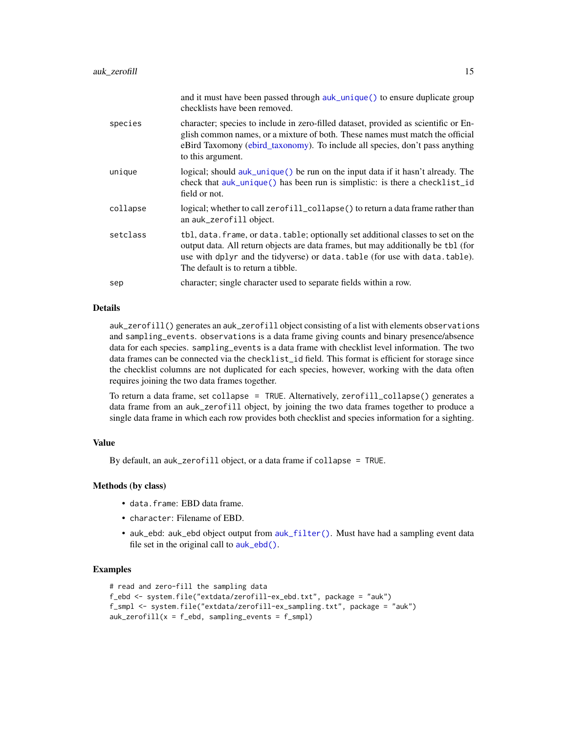<span id="page-14-0"></span>

|          | and it must have been passed through auk_unique() to ensure duplicate group<br>checklists have been removed.                                                                                                                                                                               |
|----------|--------------------------------------------------------------------------------------------------------------------------------------------------------------------------------------------------------------------------------------------------------------------------------------------|
| species  | character; species to include in zero-filled dataset, provided as scientific or En-<br>glish common names, or a mixture of both. These names must match the official<br>eBird Taxomony (ebird_taxonomy). To include all species, don't pass anything<br>to this argument.                  |
| unique   | logical; should auk_unique() be run on the input data if it hasn't already. The<br>check that auk_unique() has been run is simplistic: is there a checklist_id<br>field or not.                                                                                                            |
| collapse | logical; whether to call zerofill_collapse() to return a data frame rather than<br>an auk_zerofill object.                                                                                                                                                                                 |
| setclass | tbl, data. frame, or data. table; optionally set additional classes to set on the<br>output data. All return objects are data frames, but may additionally be tbl (for<br>use with dplyr and the tidyverse) or data.table (for use with data.table).<br>The default is to return a tibble. |
| sep      | character; single character used to separate fields within a row.                                                                                                                                                                                                                          |

#### Details

auk\_zerofill() generates an auk\_zerofill object consisting of a list with elements observations and sampling\_events. observations is a data frame giving counts and binary presence/absence data for each species. sampling\_events is a data frame with checklist level information. The two data frames can be connected via the checklist\_id field. This format is efficient for storage since the checklist columns are not duplicated for each species, however, working with the data often requires joining the two data frames together.

To return a data frame, set collapse = TRUE. Alternatively, zerofill\_collapse() generates a data frame from an auk\_zerofill object, by joining the two data frames together to produce a single data frame in which each row provides both checklist and species information for a sighting.

#### Value

By default, an auk\_zerofill object, or a data frame if collapse = TRUE.

#### Methods (by class)

- data.frame: EBD data frame.
- character: Filename of EBD.
- auk\_ebd: auk\_ebd object output from [auk\\_filter\(\)](#page-7-1). Must have had a sampling event data file set in the original call to [auk\\_ebd\(\)](#page-5-1).

```
# read and zero-fill the sampling data
f_ebd <- system.file("extdata/zerofill-ex_ebd.txt", package = "auk")
f_smpl <- system.file("extdata/zerofill-ex_sampling.txt", package = "auk")
auk_zerofill(x = f_ebd, sampling_events = f_smpl)
```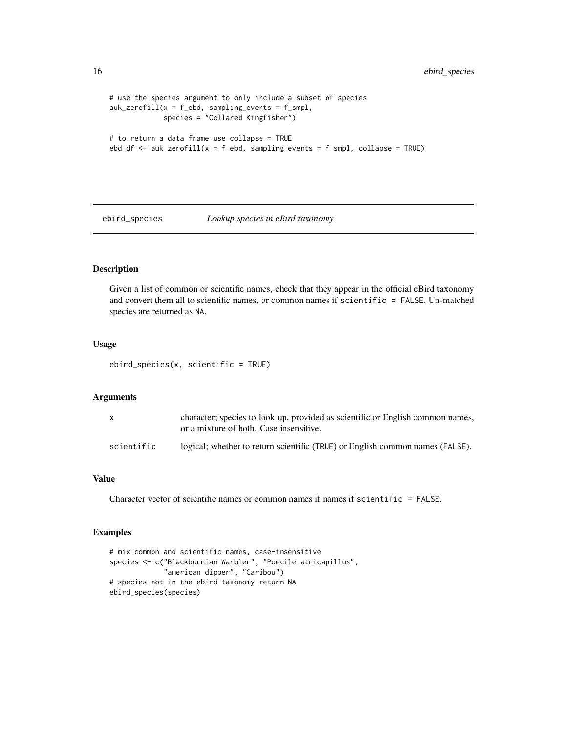```
# use the species argument to only include a subset of species
auk_zerofill(x = f_ebd, sampling_events = f_smpl,species = "Collared Kingfisher")
# to return a data frame use collapse = TRUE
ebd_df \leftarrow \text{auk\_zerofill}(x = f_ebd, \text{ sampling\_events} = f_smpl, \text{ collapse} = \text{TRUE})
```
ebird\_species *Lookup species in eBird taxonomy*

#### Description

Given a list of common or scientific names, check that they appear in the official eBird taxonomy and convert them all to scientific names, or common names if scientific = FALSE. Un-matched species are returned as NA.

#### Usage

```
ebird_species(x, scientific = TRUE)
```
#### Arguments

|            | character; species to look up, provided as scientific or English common names,<br>or a mixture of both. Case insensitive. |
|------------|---------------------------------------------------------------------------------------------------------------------------|
| scientific | logical; whether to return scientific (TRUE) or English common names (FALSE).                                             |

#### Value

Character vector of scientific names or common names if names if scientific = FALSE.

```
# mix common and scientific names, case-insensitive
species <- c("Blackburnian Warbler", "Poecile atricapillus",
             "american dipper", "Caribou")
# species not in the ebird taxonomy return NA
ebird_species(species)
```
<span id="page-15-0"></span>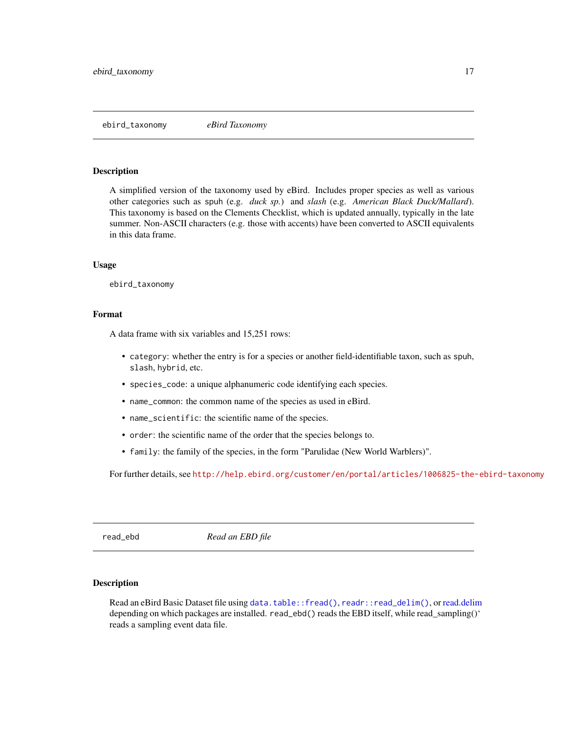<span id="page-16-1"></span><span id="page-16-0"></span>A simplified version of the taxonomy used by eBird. Includes proper species as well as various other categories such as spuh (e.g. *duck sp.*) and *slash* (e.g. *American Black Duck/Mallard*). This taxonomy is based on the Clements Checklist, which is updated annually, typically in the late summer. Non-ASCII characters (e.g. those with accents) have been converted to ASCII equivalents in this data frame.

#### Usage

ebird\_taxonomy

#### Format

A data frame with six variables and 15,251 rows:

- category: whether the entry is for a species or another field-identifiable taxon, such as spuh, slash, hybrid, etc.
- species\_code: a unique alphanumeric code identifying each species.
- name\_common: the common name of the species as used in eBird.
- name\_scientific: the scientific name of the species.
- order: the scientific name of the order that the species belongs to.
- family: the family of the species, in the form "Parulidae (New World Warblers)".

For further details, see <http://help.ebird.org/customer/en/portal/articles/1006825-the-ebird-taxonomy>

<span id="page-16-2"></span>read\_ebd *Read an EBD file*

#### <span id="page-16-3"></span>Description

Read an eBird Basic Dataset file using [data.table::fread\(\)](#page-0-0), [readr::read\\_delim\(\)](#page-0-0), or [read.delim](#page-0-0) depending on which packages are installed. read\_ebd() reads the EBD itself, while read\_sampling()' reads a sampling event data file.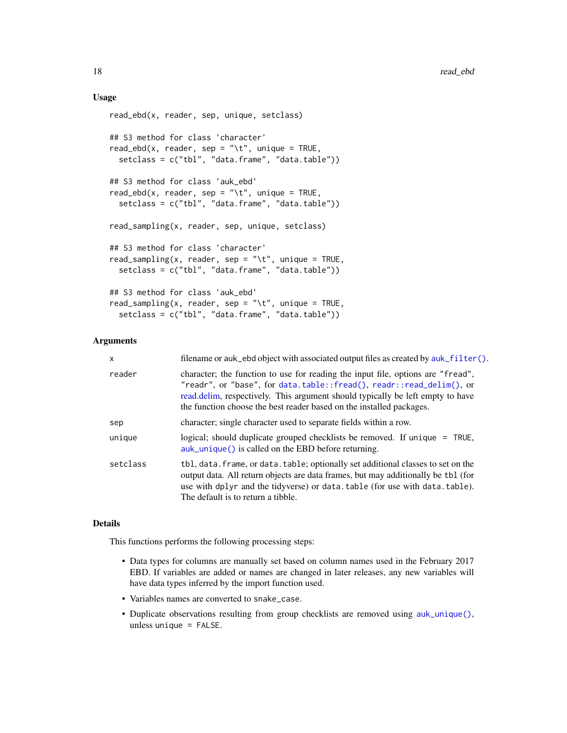#### <span id="page-17-0"></span>Usage

```
read_ebd(x, reader, sep, unique, setclass)
## S3 method for class 'character'
read_ebd(x, reader, sep = "\t", unique = TRUE,
  setclass = c("tbl", "data.frame", "data.table"))
## S3 method for class 'auk_ebd'
read_ebd(x, reader, sep = "\t", unique = TRUE,
  setclass = c("tbl", "data.frame", "data.table"))
read_sampling(x, reader, sep, unique, setclass)
## S3 method for class 'character'
read_sampling(x, reader, sep = "\t", unique = TRUE,
  setclass = c("tbl", "data.frame", "data.table"))
## S3 method for class 'auk_ebd'
read_sampling(x, reader, sep = "\t", unique = TRUE,
  setclass = c("tbl", "data.frame", "data.table"))
```
#### Arguments

| $\mathsf{x}$ | filename or auk_ebd object with associated output files as created by auk_filter().                                                                                                                                                                                                                                |
|--------------|--------------------------------------------------------------------------------------------------------------------------------------------------------------------------------------------------------------------------------------------------------------------------------------------------------------------|
| reader       | character; the function to use for reading the input file, options are "fread",<br>"readr", or "base", for data.table::fread(), readr::read_delim(), or<br>read. delim, respectively. This argument should typically be left empty to have<br>the function choose the best reader based on the installed packages. |
| sep          | character; single character used to separate fields within a row.                                                                                                                                                                                                                                                  |
| unique       | logical; should duplicate grouped checklists be removed. If unique = TRUE,<br>$\alpha$ auk_unique() is called on the EBD before returning.                                                                                                                                                                         |
| setclass     | tbl, data. frame, or data. table; optionally set additional classes to set on the<br>output data. All return objects are data frames, but may additionally be tbl (for<br>use with dplyr and the tidyverse) or data.table (for use with data.table).<br>The default is to return a tibble.                         |

#### Details

This functions performs the following processing steps:

- Data types for columns are manually set based on column names used in the February 2017 EBD. If variables are added or names are changed in later releases, any new variables will have data types inferred by the import function used.
- Variables names are converted to snake\_case.
- Duplicate observations resulting from group checklists are removed using [auk\\_unique\(\)](#page-11-1), unless unique = FALSE.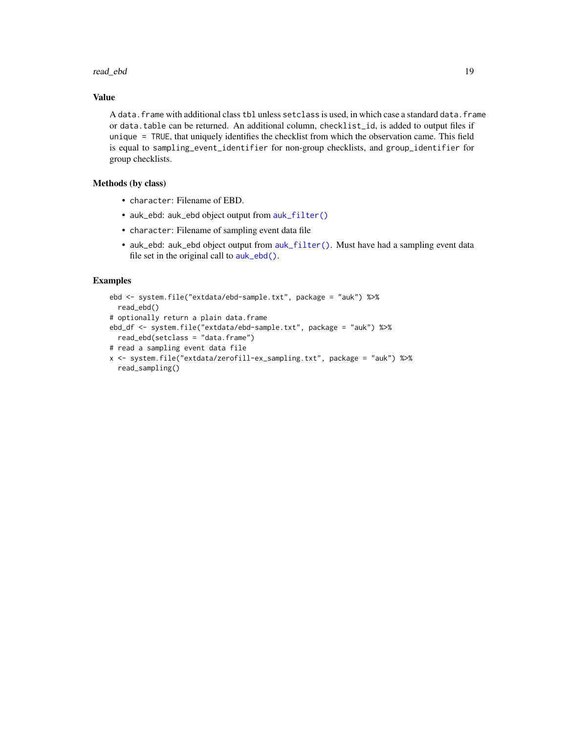#### <span id="page-18-0"></span>read\_ebd 19

#### Value

A data.frame with additional class tbl unless setclass is used, in which case a standard data.frame or data.table can be returned. An additional column, checklist\_id, is added to output files if unique = TRUE, that uniquely identifies the checklist from which the observation came. This field is equal to sampling\_event\_identifier for non-group checklists, and group\_identifier for group checklists.

#### Methods (by class)

- character: Filename of EBD.
- auk\_ebd: auk\_ebd object output from [auk\\_filter\(\)](#page-7-1)
- character: Filename of sampling event data file
- auk\_ebd: auk\_ebd object output from [auk\\_filter\(\)](#page-7-1). Must have had a sampling event data file set in the original call to [auk\\_ebd\(\)](#page-5-1).

```
ebd <- system.file("extdata/ebd-sample.txt", package = "auk") %>%
  read_ebd()
# optionally return a plain data.frame
ebd_df <- system.file("extdata/ebd-sample.txt", package = "auk") %>%
  read_ebd(setclass = "data.frame")
# read a sampling event data file
x <- system.file("extdata/zerofill-ex_sampling.txt", package = "auk") %>%
  read_sampling()
```